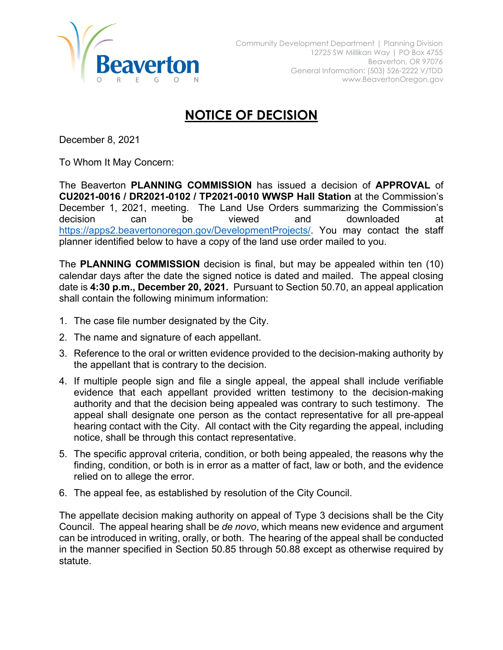

## **NOTICE OF DECISION**

December 8, 2021

To Whom It May Concern:

The Beaverton **PLANNING COMMISSION** has issued a decision of **APPROVAL** of **CU2021-0016 / DR2021-0102 / TP2021-0010 WWSP Hall Station** at the Commission's December 1, 2021, meeting. The Land Use Orders summarizing the Commission's decision can be viewed and downloaded at [https://apps2.beavertonoregon.gov/DevelopmentProjects/.](https://apps2.beavertonoregon.gov/DevelopmentProjects/) You may contact the staff planner identified below to have a copy of the land use order mailed to you.

The **PLANNING COMMISSION** decision is final, but may be appealed within ten (10) calendar days after the date the signed notice is dated and mailed. The appeal closing date is **4:30 p.m., December 20, 2021.** Pursuant to Section 50.70, an appeal application shall contain the following minimum information:

- 1. The case file number designated by the City.
- 2. The name and signature of each appellant.
- 3. Reference to the oral or written evidence provided to the decision-making authority by the appellant that is contrary to the decision.
- 4. If multiple people sign and file a single appeal, the appeal shall include verifiable evidence that each appellant provided written testimony to the decision-making authority and that the decision being appealed was contrary to such testimony. The appeal shall designate one person as the contact representative for all pre-appeal hearing contact with the City. All contact with the City regarding the appeal, including notice, shall be through this contact representative.
- 5. The specific approval criteria, condition, or both being appealed, the reasons why the finding, condition, or both is in error as a matter of fact, law or both, and the evidence relied on to allege the error.
- 6. The appeal fee, as established by resolution of the City Council.

The appellate decision making authority on appeal of Type 3 decisions shall be the City Council. The appeal hearing shall be *de novo*, which means new evidence and argument can be introduced in writing, orally, or both. The hearing of the appeal shall be conducted in the manner specified in Section 50.85 through 50.88 except as otherwise required by statute.